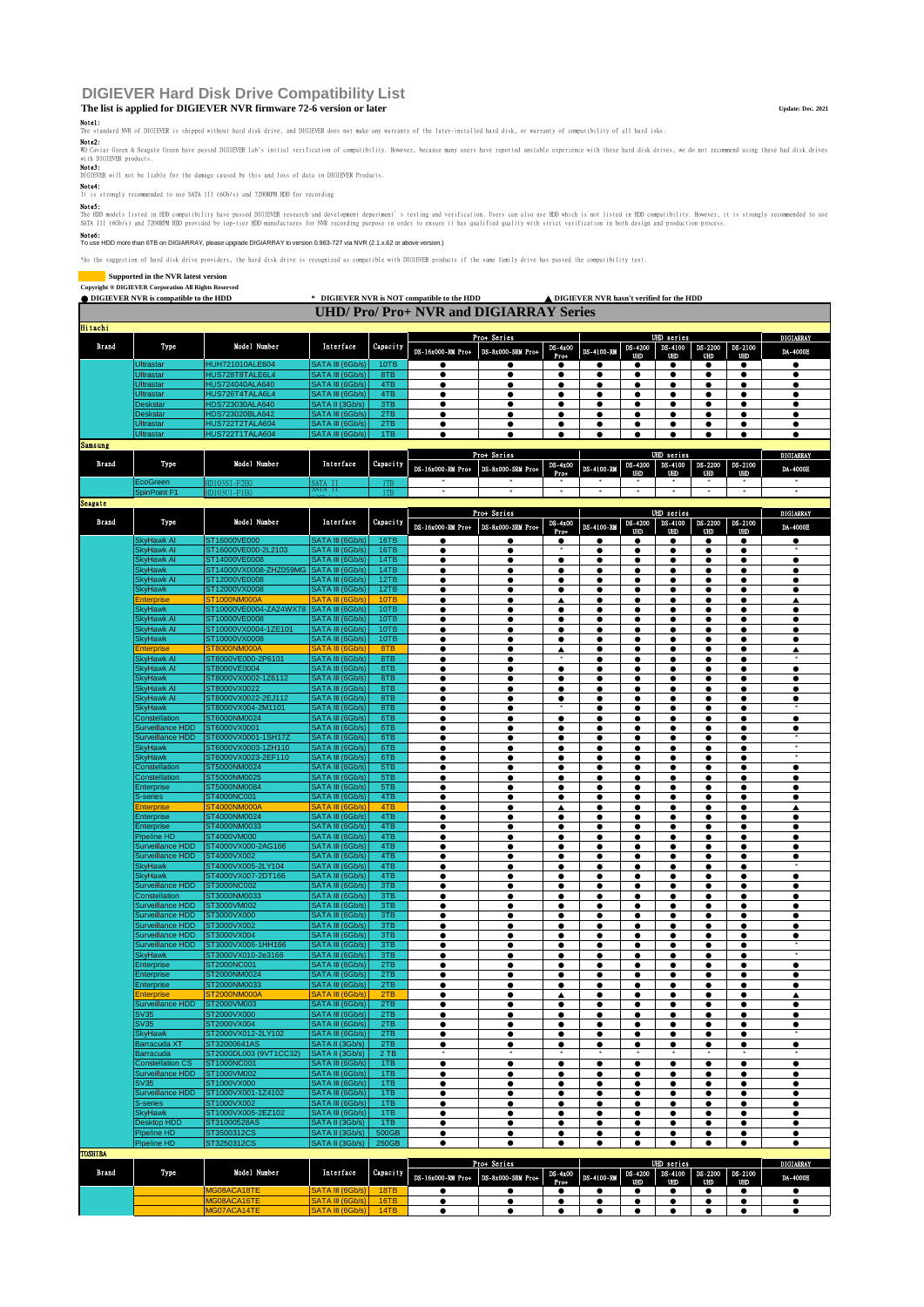# **DIGIEVER Hard Disk Drive Compatibility List**

## **The list is applied for DIGIEVER NVR firmware 72-6 version or later Update: Dec. 2021**

Note1:<br>The standard NVR of DIGIEVER is shipped without hard disk drive, and DIGIEVER does not make any warranty of he<br>Note2:

WD Caviar Green & Seegate Green have passed DIGIEVER lab's initial verification of compatibility. However, because many users have reported unstable experience with these hard disk drives, we do not recommend using these h

with DI<br>Note3:

DIGIEVER will not be liable for the damage caused by this and loss of data in DIGIEVER Products.

Note4: It is strongly recommended to use SATA III (6Gb/s) and 7200RPM HDD for recording

**Note5:**<br>The HDD models listed in HDD compatibility have passed DIGIEVER research and development department <sup>s</sup> testing and verification. Users can also use HDD which is not listed in HDD compatibility. However, it is str

### Note6: To use HDD more than 6TB on DIGIARRAY, please upgrade DIGIARRAY to version 0.963-727 via NVR (2.1.x.62 or above version.)

\*As the suggestion of hard disk drive providers, the hard disk drive is recognized as compatible with DIGIEVER products if the same family drive has passed the compatibility test.

|                | Supported in the NVR latest version<br>Copyright ® DIGIEVER Corporation All Rights Reserved |                                            |                                            |              |                                             |                        |                        |                                            |           |                |                        |                        |                        |
|----------------|---------------------------------------------------------------------------------------------|--------------------------------------------|--------------------------------------------|--------------|---------------------------------------------|------------------------|------------------------|--------------------------------------------|-----------|----------------|------------------------|------------------------|------------------------|
|                | <b>ODIGIEVER NVR</b> is compatible to the HDD                                               |                                            |                                            |              | * DIGIEVER NVR is NOT compatible to the HDD |                        |                        | ▲ DIGIEVER NVR hasn't verified for the HDD |           |                |                        |                        |                        |
|                |                                                                                             |                                            |                                            |              | <b>UHD/Pro/Pro+NVR and DIGIARRAY Series</b> |                        |                        |                                            |           |                |                        |                        |                        |
|                |                                                                                             |                                            |                                            |              |                                             |                        |                        |                                            |           |                |                        |                        |                        |
| <b>Hitachi</b> |                                                                                             |                                            |                                            |              |                                             | Prot Series            |                        |                                            |           | UHD series     |                        |                        | <b>DIGIARRAY</b>       |
| Brand          | Type                                                                                        | Model Number                               | Interface                                  | Capacity     |                                             |                        | DS-4x00                |                                            | DS-4200   | DS-4100        | DS-2200                | DS-2100                |                        |
|                |                                                                                             |                                            |                                            |              | DS-16x000-RM Pro+                           | DS-8x000-SRM Pro+      | Pro+                   | DS-4100-Rd                                 | titin     | UHD            | UHD                    | UHD.                   | DA-4000B               |
|                | Ultrastar                                                                                   | <b>HUH721010ALE604</b><br>HUS728T8TALE6L4  | SATA III (6Gb/s)<br>SATA III (6Gb/s)       | 10TB<br>8TB  | $\bullet$                                   | $\bullet$              | ٠                      | $\bullet$                                  | e         |                | $\bullet$<br>$\bullet$ |                        | ٠                      |
|                | Ultrastar<br>Ultrastar                                                                      | HUS724040ALA640                            | SATA III (6Gb/s)                           | 4TB          | ٠                                           | ٠<br>٠                 | ٠                      |                                            |           | ٠              |                        |                        |                        |
|                | Ultrastar                                                                                   | HUS726T4TALA6L4                            | SATA III (6Gb/s)                           | 4TB          | ٠                                           | ٠                      | ٠                      |                                            |           | ٠              | ٠                      | $\bullet$              | $\bullet$              |
|                | <b>Deskstar</b>                                                                             | HDS723030ALA640                            | SATA II (3Gb/s)                            | 3TB          | $\bullet$                                   | ٠                      | ٠                      |                                            |           | ٠              | ٠                      | ٠                      |                        |
|                | <b>Deskstar</b>                                                                             | HDS723020BLA642                            | SATA III (6Gb/s)                           | 2TB          |                                             | ٠                      | ٠                      | 0                                          | c         | ٠              | ٠                      | ٠                      | ٠                      |
|                | Ultrastar<br>Ultrastar                                                                      | HUS722T2TALA604<br>HUS722T1TALA604         | SATA III (6Gb/s)<br>SATA III (6Gb/s)       | 2TB<br>1TB   | $\bullet$                                   | ٠<br>$\bullet$         | ٠<br>٠                 | $\bullet$<br>$\bullet$                     |           | ٠<br>$\bullet$ | $\bullet$              | ٠<br>$\bullet$         | ٠<br>$\bullet$         |
| <b>Samsung</b> |                                                                                             |                                            |                                            |              |                                             |                        |                        |                                            |           |                |                        |                        |                        |
|                |                                                                                             |                                            |                                            |              |                                             | Pro+ Series            |                        |                                            |           | UHD series     |                        |                        | <b>DIGIARRAY</b>       |
| Brand          | Type                                                                                        | Model Number                               | Interface                                  | Capacity     | DS-16x000-RM Pro+                           | DS-8x000-SRM Pro+      | DS-4x00                | DS-4100-Rd                                 | DS-4200   | DS-4100        | DS-2200                | DS-2100                | DA-4000E               |
|                | EcoGreen                                                                                    |                                            |                                            |              |                                             |                        | Pro+                   |                                            | UHD)      | UHD)           | UHD,                   | 080                    |                        |
|                | <b>SpinPoint F1</b>                                                                         | HD103SI-F2EG<br>HD103UI-F1EG               | SATA II<br>SATA II                         | 1TB<br>1TB   | $\ast$                                      |                        | $\ast$                 | ×                                          | $\alpha$  | $\alpha$       | $\ast$                 | $\mathbf{a}$           |                        |
| <b>Seagate</b> |                                                                                             |                                            |                                            |              |                                             |                        |                        |                                            |           |                |                        |                        |                        |
|                |                                                                                             |                                            |                                            |              |                                             | Pro+ Series            |                        |                                            |           | UHD series     |                        |                        | DIGIARRAY              |
| <b>Brand</b>   | Type                                                                                        | Model Number                               | Interface                                  | Capacity     | DS-16x000-RM Pro+                           | DS-8x000-SRM Pro+      | $DS-4x00$              | DS-4100-RM                                 | DS-4200   | DS-4100        | DS-2200                | DS-2100                | DA-4000E               |
|                | SkyHawk Al                                                                                  | ST16000VE000                               | SATA III (6Gb/s)                           | 16TB         | $\bullet$                                   |                        | Pro+<br>٠              |                                            | UHD       | UHD            | UHD<br>٠               | 030                    |                        |
|                | SkyHawk Al                                                                                  | ST16000VE000-2L2103                        | SATA III (6Gb/s)                           | 16TB         | ٠                                           | ٠                      | $\frac{1}{2}$          | ٠                                          | ٠         | ٠              | ٠                      |                        |                        |
|                | SkyHawk AI                                                                                  | ST14000VE0008                              | SATA III (6Gb/s)                           | 14TB         | $\bullet$                                   | ٠                      | $\bullet$              | $\bullet$                                  | ٠         | $\bullet$      | $\bullet$              | $\bullet$              | $\bullet$              |
|                | <b>SkyHawk</b>                                                                              | ST14000VX0008-ZHZ059MG                     | SATA III (6Gb/s                            | 14TB         | ٠                                           |                        |                        |                                            |           |                |                        |                        |                        |
|                | SkyHawk Al                                                                                  | ST12000VE0008                              | SATA III (6Gb/s                            | 12TB         | ٠                                           | ٠                      | ٠                      |                                            |           |                |                        |                        |                        |
|                | SkyHawk<br>Enterprise                                                                       | ST12000VX0008<br>ST1000NM000A              | SATA III (6Gb/s)<br><b>SATA III (6Gb/s</b> | 12TB<br>10TB | ٠<br>$\bullet$                              | ٠<br>٠                 | ٠                      |                                            | e<br>٠    | $\bullet$<br>٠ | $\bullet$<br>٠         | $\bullet$<br>٠         | $\bullet$<br>А         |
|                | <b>SkyHawk</b>                                                                              | ST10000VE0004-ZA24WX78                     | SATA III (6Gb/s)                           | 10TB         |                                             | ٠                      | ▲<br>٠                 | 0                                          | c         | ٠              | ٠                      | ٠                      |                        |
|                | SkyHawk Al                                                                                  | ST10000VE0008                              | SATA III (6Gb/s)                           | 10TB         | ٠                                           | ٠                      | ٠                      |                                            | c         |                |                        |                        |                        |
|                | SkyHawk Al                                                                                  | ST10000VX0004-1ZE101                       | SATA III (6Gb/s)                           | 10TB         | $\bullet$                                   | $\bullet$              | $\bullet$              | $\bullet$                                  |           | ٠              |                        | ٠                      | $\bullet$              |
|                | <b>SkvHawk</b>                                                                              | ST10000VX0008                              | SATA III (6Gb/s)                           | 10TB         | $\bullet$                                   | $\bullet$              | $\bullet$              | ٠                                          |           | $\bullet$      | $\bullet$              | $\bullet$              | $\bullet$              |
|                | <b>Enterprise</b>                                                                           | ST8000NM000A                               | SATA III (6Gb/s)                           | 8TB          | ٠                                           | ٠                      | Δ                      |                                            |           |                |                        | $\bullet$              | A                      |
|                | SkyHawk Al<br>SkyHawk AI                                                                    | ST8000VE000-2P6101<br>ST8000VE0004         | SATA III (6Gb/s)<br>SATA III (6Gb/s)       | 8TB<br>8TB   | $\bullet$                                   | ٠                      | $\bullet$              |                                            | e         |                |                        | ٠<br>$\bullet$         | $\bullet$              |
|                | <b>SkyHawk</b>                                                                              | ST8000VX0002-1Z6112                        | SATA III (6Gb/s)                           | 8TB          | ٠<br>٠                                      | ٠                      | ٠                      |                                            | ٠         | ٠<br>٠         | ٠<br>٠                 | ٠                      |                        |
|                | SkyHawk Al                                                                                  | ST8000VX0022                               | SATA III (6Gb/s)                           | 8TB          | ٠                                           | e                      |                        |                                            | c         |                | ٠                      | ۰                      |                        |
|                | SkyHawk Al                                                                                  | ST8000VX0022-2EJ112                        | SATA III (6Gb/s                            | 8TB          | ٠                                           | ٠                      | ٠                      |                                            |           |                |                        |                        |                        |
|                | <b>SkyHawk</b>                                                                              | ST8000VX004-2M1101                         | SATA III (6Gb/s)                           | 8TB          |                                             | ٠                      |                        |                                            | c         |                |                        |                        |                        |
|                | Constellation                                                                               | ST6000NM0024                               | SATA III (6Gb/s)                           | 6TB          | ٠                                           | ٠                      | ٠                      | ٠                                          |           |                |                        | $\bullet$              |                        |
|                | Surveillance HDD                                                                            | ST6000VX0001                               | SATA III (6Gb/s                            | 6TB          | $\bullet$                                   | ٠                      | $\bullet$              | ٠                                          |           |                |                        | $\bullet$              |                        |
|                | Surveillance HDD                                                                            | ST6000VX0001-1SH17Z<br>ST6000VX0003-1ZH110 | SATA III (6Gb/s<br>SATA III (6Gb/s)        | 6TB          | $\bullet$                                   | ٠                      | ٠                      | ٠                                          | e         | $\bullet$      | $\bullet$              | $\bullet$<br>٠         |                        |
|                | <b>SkyHawk</b><br><b>SkyHawk</b>                                                            | ST6000VX0023-2EF110                        | SATA III (6Gb/s)                           | 6TB<br>6TB   | $\bullet$                                   | ٠                      | ٠                      | $\bullet$                                  | e         | ٠              | ٠                      | $\bullet$              |                        |
|                | Constellation                                                                               | ST5000NM0024                               | SATA III (6Gb/s)                           | 5TB          | $\bullet$                                   | ٠                      | ٠                      |                                            | ٠         | ٠              | ٠                      | ٠                      | $\bullet$              |
|                | Constellation                                                                               | ST5000NM0025                               | SATA III (6Gb/s)                           | 5TB          |                                             | ٠                      | ٠                      | 0                                          | c         | ٠              | ٠                      | ٠                      |                        |
|                | Enterprise                                                                                  | ST5000NM0084                               | SATA III (6Gb/s)                           | 5TB          | ٠                                           | ٠                      | ٠                      |                                            |           | ٠              | ٠                      | ٠                      |                        |
|                | S-series                                                                                    | ST4000NC001                                | SATA III (6Gb/s)                           | 4TB          | $\bullet$                                   | $\bullet$              | $\bullet$              | $\bullet$                                  |           | ٠              |                        | ٠                      | $\bullet$              |
|                | <b>Enterprise</b><br>Enterprise                                                             | ST4000NM000A<br>ST4000NM0024               | <b>SATA III (6Gb/s</b><br>SATA III (6Gb/s) | 4TB<br>4TB   | $\bullet$                                   |                        | ٠                      | $\bullet$                                  |           | $\bullet$      | $\bullet$              | $\bullet$<br>$\bullet$ |                        |
|                | Enterprise                                                                                  | ST4000NM0033                               | SATA III (6Gb/s)                           | 4TB          | ٠                                           |                        | $\bullet$              |                                            |           | c              |                        | ۰                      |                        |
|                | Pipeline HD                                                                                 | ST4000VM000                                | SATA III (6Gb/s)                           | 4TB          | $\bullet$                                   | ٠                      | ٠                      |                                            | e         | $\bullet$      | $\bullet$              | $\bullet$              |                        |
|                | Surveillance HDD                                                                            | ST4000VX000-2AG166                         | SATA III (6Gb/s)                           | 4TB          | ٠                                           | ٠                      | ٠                      |                                            | ٠         | ٠              | ٠                      | ٠                      |                        |
|                | Surveillance HDD                                                                            | ST4000VX002                                | SATA III (6Gb/s)                           | 4TB          |                                             | ٠                      | ٠                      | 0                                          | c         |                | ٠                      |                        |                        |
|                | <b>SkyHawk</b>                                                                              | ST4000VX005-2LY104                         | <b>SATA III (6Gb/s</b>                     | 4TB          |                                             | ٠                      | ٠                      |                                            | c         |                |                        |                        |                        |
|                | SkyHawk<br>Surveillance HDD                                                                 | ST4000VX007-2DT166<br>ST3000NC002          | SATA III (6Gb/s<br>SATA III (6Gb/s         | 4TB<br>3TB   | ٠<br>$\bullet$                              | $\bullet$<br>$\bullet$ | $\bullet$<br>$\bullet$ | $\bullet$<br>$\bullet$                     |           | $\bullet$      | $\bullet$              | $\bullet$<br>$\bullet$ | $\bullet$<br>$\bullet$ |
|                | Constellation                                                                               | ST3000NM0033                               | SATA III (6Gb/s                            | 3TB          |                                             |                        |                        |                                            |           |                |                        |                        |                        |
|                | Surveillance HDD                                                                            | ST3000VM002                                | SATA III (6Gb/s                            | 3TB          | $\bullet$                                   |                        |                        |                                            |           |                |                        |                        |                        |
|                | Surveillance HDD                                                                            | ST3000VX000                                | SATA III (6Gb/s)                           | 3TB          | ٠                                           | ٠                      | ٠                      |                                            | e         | $\bullet$      | $\bullet$              | $\bullet$              |                        |
|                | Surveillance HDD                                                                            | ST3000VX002                                | SATA III (6Gb/s)                           | 3TB          |                                             | ٠                      | ٠                      | 0                                          |           | ٠              | ٠                      | ٠                      |                        |
|                | Surveillance HDD<br>Surveillance HDD                                                        | ST3000VX004<br>ST3000VX006-1HH166          | SATA III (6Gb/s)<br>SATA III (6Gb/s)       | 3TB<br>3TB   |                                             | ٠<br>٠                 | ٠<br>٠                 | 0                                          | ٠<br>c    | ٠              | ٠                      | ٠<br>٠                 |                        |
|                | <b>SkyHawk</b>                                                                              | ST3000VX010-2e3166                         | SATA III (6Gb/s)                           | 3TB          | $\bullet$                                   | $\bullet$              | ٠                      | ٠                                          | $\bullet$ | ٠              |                        | ٠                      |                        |
|                | <b>Enterprise</b>                                                                           | ST2000NC001                                | SATA III (6Gb/s)                           | 2TB          |                                             | e                      |                        | $\bullet$                                  |           |                |                        |                        | $\bullet$              |
|                | Enterprise                                                                                  | ST2000NM0024                               | SATA III (6Gb/s                            | 2TB          |                                             | ٠                      | ٠                      | ٠                                          | ٠         | ٠              | ٠                      | ٠                      | ٠                      |
|                | Enterprise                                                                                  | ST2000NM0033                               | SATA III (6Gb/s)                           | 2TB          |                                             | ٠                      | ٠                      |                                            |           |                |                        | ٠                      |                        |
|                | :nterpris                                                                                   | ST2000NM000A                               | <b>SATA III (6Gb/s</b>                     | 2TB          | ٠                                           | ٠                      | ▲                      | ٠                                          | ٠         | ٠              | ٠                      | ٠                      | ▲                      |
|                | Surveillance HDD<br><b>SV35</b>                                                             | ST2000VM003<br>ST2000VX000                 | SATA III (6Gb/s)<br>SATA III (6Gb/s)       | 2TB<br>2TB   | ٠                                           | ٠                      | ٠                      | ٠                                          | ٠         | ٠              | ٠                      | ٠                      | ٠                      |
|                | <b>SV35</b>                                                                                 | ST2000VX004                                | SATA III (6Gb/s)                           | 2TB          | ٠                                           | ٠<br>٠                 | ٠<br>٠                 | 0                                          | ٠<br>٠    | ٠              | ٠<br>٠                 | ٠<br>٠                 | ٠<br>٠                 |
|                | SkyHawk                                                                                     | ST2000VX012-2LY102                         | SATA III (6Gb/s)                           | 2TB          | ٠                                           | ٠                      | ٠                      |                                            |           |                |                        |                        | ×                      |
|                | <b>Barracuda XT</b>                                                                         | ST32000641AS                               | SATA II (3Gb/s)                            | 2TB          | ٠                                           | ٠                      | ٠                      | ٠                                          | ٠         | ٠              | ٠                      | ٠                      | ٠                      |
|                | Barracuda                                                                                   | ST2000DL003 (9VT1CC32)                     | SATA II (3Gb/s)                            | 2TB          |                                             |                        |                        |                                            |           |                |                        |                        |                        |
|                | <b>Constellation CS</b>                                                                     | ST1000NC001                                | SATA III (6Gb/s)                           | 1TB          | $\bullet$                                   | $\bullet$              | $\bullet$              | $\bullet$                                  | $\bullet$ | $\bullet$      | $\bullet$              | $\bullet$              | $\bullet$              |
|                | Surveillance HDD<br><b>SV35</b>                                                             | ST1000VM002<br>ST1000VX000                 | SATA III (6Gb/s)<br>SATA III (6Gb/s)       | 1TB<br>1TB   | ٠<br>٠                                      | ٠<br>٠                 | ٠<br>٠                 | ٠                                          | ٠<br>٠    | ٠<br>٠         | ٠<br>٠                 | ٠<br>٠                 | ٠<br>٠                 |
|                | Surveillance HDD                                                                            | ST1000VX001-1Z4102                         | SATA III (6Gb/s)                           | 1TB          | ٠                                           | ٠                      | ٠                      | ٠                                          | ٠         | ٠              | ٠                      | ٠                      | ٠                      |
|                | S-series                                                                                    | ST1000VX002                                | SATA III (6Gb/s)                           | 1TB          |                                             | ٠                      | ٠                      | 0                                          | c         | ٠              |                        | ٠                      | ٠                      |
|                | SkyHawk                                                                                     | ST1000VX005-2EZ102                         | SATA III (6Gb/s)                           | 1TB          | ٠                                           | ٠                      | ٠                      |                                            | ٠         | ٠              | ٠                      | ٠                      | ٠                      |
|                | Desktop HDD                                                                                 | ST31000528AS                               | SATA II (3Gb/s)                            | 1TB          | ٠                                           | ٠                      | ٠                      | ٠                                          | ٠         | ٠              | ٠                      | ٠                      | ٠                      |
|                | Pipeline HD                                                                                 | ST3500312CS                                | SATA II (3Gb/s)                            | 500GB        | $\bullet$                                   | ٠                      | ٠                      | $\bullet$                                  | ٠         | ٠              | $\bullet$              | $\bullet$              | ٠                      |
| <b>TOSHIBA</b> | Pipeline HD                                                                                 | ST3250312CS                                | SATA II (3Gb/s)                            | 250GB        | ٠                                           | ٠                      | ٠                      | ٠                                          | e         | ٠              |                        | ٠                      | ٠                      |
|                |                                                                                             |                                            |                                            |              |                                             | Pro+ Series            |                        |                                            |           | UHD series     |                        |                        | <b>DIGIARRAY</b>       |
| <b>Brand</b>   | Type                                                                                        | Model Number                               | Interface                                  | Capacity     |                                             |                        | DS-4x00                |                                            | DS-4200   | DS-4100        | DS-2200                | DS-2100                |                        |
|                |                                                                                             |                                            |                                            |              | DS-16x000-RM Pro+                           | DS-8x000-SRM Pro+      | Pro+                   | DS-4100-RM                                 | UHD.      | UHD            | 030                    | UHD.                   | DA-4000B               |
|                |                                                                                             | MG08ACA18TE                                | SATA III (6Gb/s)                           | 18TB         | ٠                                           | ٠                      | ٠                      | ٠                                          | ٠         | ٠              | ٠                      | ٠                      | ٠                      |
|                |                                                                                             | MG08ACA16TE<br>MG07ACA14TE                 | SATA III (6Gb/s)<br>SATA III (6Gb/s)       | 16TB<br>14TB | ٠                                           | ٠                      | ٠                      | ٠                                          | ٠         | ٠<br>٠         | ٠<br>٠                 | ٠<br>٠                 | ٠<br>٠                 |
|                |                                                                                             |                                            |                                            |              |                                             |                        |                        |                                            |           |                |                        |                        |                        |